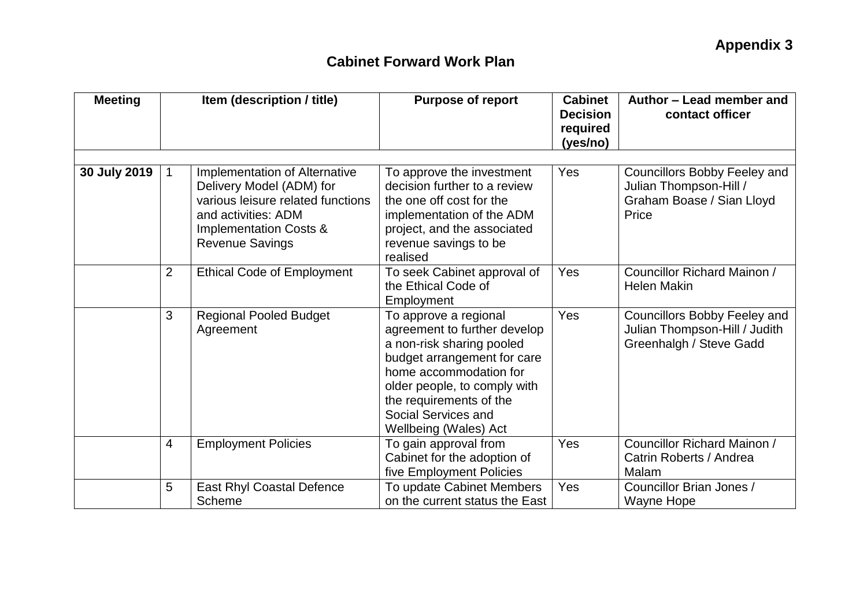| <b>Meeting</b> | Item (description / title) |                                                                                                                                                                           | <b>Purpose of report</b>                                                                                                                                                                                                                               | <b>Cabinet</b><br><b>Decision</b><br>required<br>(yes/no) | Author – Lead member and<br>contact officer                                                         |  |
|----------------|----------------------------|---------------------------------------------------------------------------------------------------------------------------------------------------------------------------|--------------------------------------------------------------------------------------------------------------------------------------------------------------------------------------------------------------------------------------------------------|-----------------------------------------------------------|-----------------------------------------------------------------------------------------------------|--|
| 30 July 2019   | $\mathbf{1}$               | Implementation of Alternative<br>Delivery Model (ADM) for<br>various leisure related functions<br>and activities: ADM<br>Implementation Costs &<br><b>Revenue Savings</b> | To approve the investment<br>decision further to a review<br>the one off cost for the<br>implementation of the ADM<br>project, and the associated<br>revenue savings to be<br>realised                                                                 | Yes                                                       | <b>Councillors Bobby Feeley and</b><br>Julian Thompson-Hill /<br>Graham Boase / Sian Lloyd<br>Price |  |
|                | $\overline{2}$             | <b>Ethical Code of Employment</b>                                                                                                                                         | To seek Cabinet approval of<br>the Ethical Code of<br>Employment                                                                                                                                                                                       | Yes                                                       | Councillor Richard Mainon /<br><b>Helen Makin</b>                                                   |  |
|                | 3                          | <b>Regional Pooled Budget</b><br>Agreement                                                                                                                                | To approve a regional<br>agreement to further develop<br>a non-risk sharing pooled<br>budget arrangement for care<br>home accommodation for<br>older people, to comply with<br>the requirements of the<br>Social Services and<br>Wellbeing (Wales) Act | Yes                                                       | <b>Councillors Bobby Feeley and</b><br>Julian Thompson-Hill / Judith<br>Greenhalgh / Steve Gadd     |  |
|                | $\overline{4}$             | <b>Employment Policies</b>                                                                                                                                                | To gain approval from<br>Cabinet for the adoption of<br>five Employment Policies                                                                                                                                                                       | Yes                                                       | Councillor Richard Mainon /<br>Catrin Roberts / Andrea<br>Malam                                     |  |
|                | 5                          | <b>East Rhyl Coastal Defence</b><br>Scheme                                                                                                                                | To update Cabinet Members<br>on the current status the East                                                                                                                                                                                            | Yes                                                       | Councillor Brian Jones /<br>Wayne Hope                                                              |  |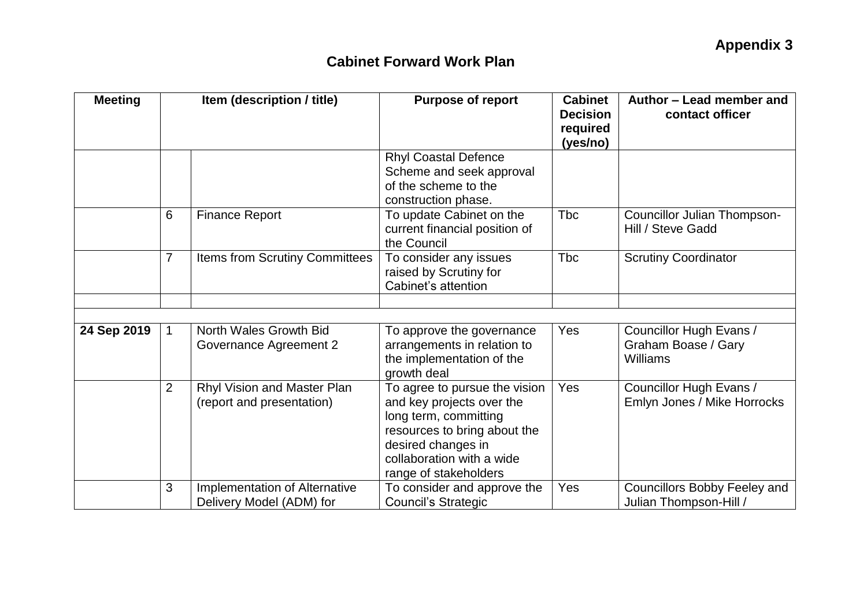| <b>Meeting</b> | Item (description / title) |                                                           | <b>Purpose of report</b>                                                                                                                                                                        | <b>Cabinet</b><br><b>Decision</b><br>required<br>(yes/no) | Author - Lead member and<br>contact officer                   |
|----------------|----------------------------|-----------------------------------------------------------|-------------------------------------------------------------------------------------------------------------------------------------------------------------------------------------------------|-----------------------------------------------------------|---------------------------------------------------------------|
|                |                            |                                                           | <b>Rhyl Coastal Defence</b><br>Scheme and seek approval<br>of the scheme to the<br>construction phase.                                                                                          |                                                           |                                                               |
|                | 6                          | <b>Finance Report</b>                                     | To update Cabinet on the<br>current financial position of<br>the Council                                                                                                                        | <b>Tbc</b>                                                | Councillor Julian Thompson-<br>Hill / Steve Gadd              |
|                | $\overline{7}$             | Items from Scrutiny Committees                            | To consider any issues<br>raised by Scrutiny for<br>Cabinet's attention                                                                                                                         | <b>Tbc</b>                                                | <b>Scrutiny Coordinator</b>                                   |
|                |                            |                                                           |                                                                                                                                                                                                 |                                                           |                                                               |
| 24 Sep 2019    | $\mathbf{1}$               | North Wales Growth Bid<br>Governance Agreement 2          | To approve the governance<br>arrangements in relation to<br>the implementation of the<br>growth deal                                                                                            | Yes                                                       | Councillor Hugh Evans /<br>Graham Boase / Gary<br>Williams    |
|                | $\overline{2}$             | Rhyl Vision and Master Plan<br>(report and presentation)  | To agree to pursue the vision<br>and key projects over the<br>long term, committing<br>resources to bring about the<br>desired changes in<br>collaboration with a wide<br>range of stakeholders | Yes                                                       | Councillor Hugh Evans /<br>Emlyn Jones / Mike Horrocks        |
|                | 3                          | Implementation of Alternative<br>Delivery Model (ADM) for | To consider and approve the<br><b>Council's Strategic</b>                                                                                                                                       | Yes                                                       | <b>Councillors Bobby Feeley and</b><br>Julian Thompson-Hill / |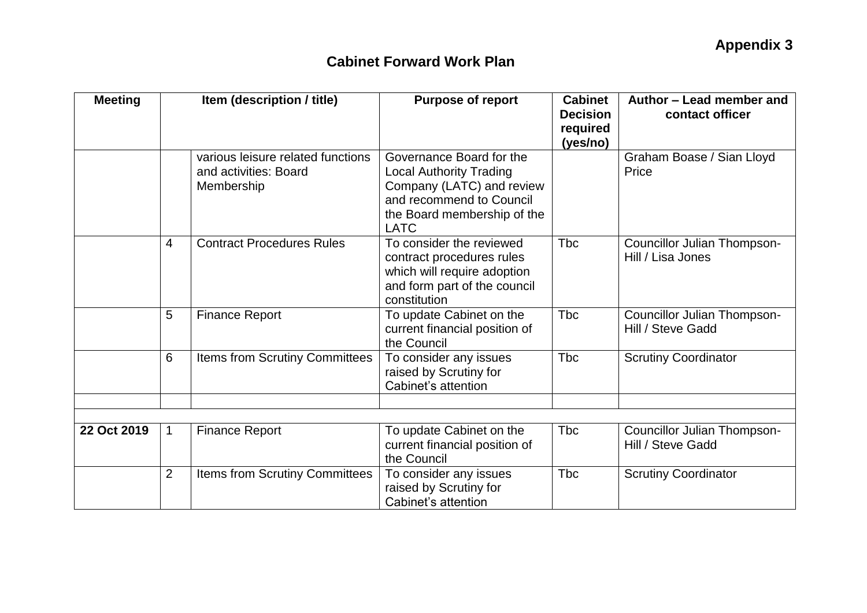| <b>Meeting</b> | Item (description / title) |                                                                          | <b>Purpose of report</b>                                                                                                                                          | <b>Cabinet</b><br><b>Decision</b><br>required<br>(yes/no) | Author - Lead member and<br>contact officer             |  |
|----------------|----------------------------|--------------------------------------------------------------------------|-------------------------------------------------------------------------------------------------------------------------------------------------------------------|-----------------------------------------------------------|---------------------------------------------------------|--|
|                |                            | various leisure related functions<br>and activities: Board<br>Membership | Governance Board for the<br><b>Local Authority Trading</b><br>Company (LATC) and review<br>and recommend to Council<br>the Board membership of the<br><b>LATC</b> |                                                           | Graham Boase / Sian Lloyd<br>Price                      |  |
|                | $\overline{4}$             | <b>Contract Procedures Rules</b>                                         | To consider the reviewed<br>contract procedures rules<br>which will require adoption<br>and form part of the council<br>constitution                              | <b>Tbc</b>                                                | <b>Councillor Julian Thompson-</b><br>Hill / Lisa Jones |  |
|                | 5                          | <b>Finance Report</b>                                                    | To update Cabinet on the<br>current financial position of<br>the Council                                                                                          | <b>Tbc</b>                                                | Councillor Julian Thompson-<br>Hill / Steve Gadd        |  |
|                | 6                          | Items from Scrutiny Committees                                           | To consider any issues<br>raised by Scrutiny for<br>Cabinet's attention                                                                                           | <b>T</b> bc                                               | <b>Scrutiny Coordinator</b>                             |  |
|                |                            |                                                                          |                                                                                                                                                                   |                                                           |                                                         |  |
| 22 Oct 2019    | $\mathbf{1}$               | <b>Finance Report</b>                                                    | To update Cabinet on the<br>current financial position of<br>the Council                                                                                          | <b>T</b> bc                                               | Councillor Julian Thompson-<br>Hill / Steve Gadd        |  |
|                | $\overline{2}$             | <b>Items from Scrutiny Committees</b>                                    | To consider any issues<br>raised by Scrutiny for<br>Cabinet's attention                                                                                           | <b>T</b> bc                                               | <b>Scrutiny Coordinator</b>                             |  |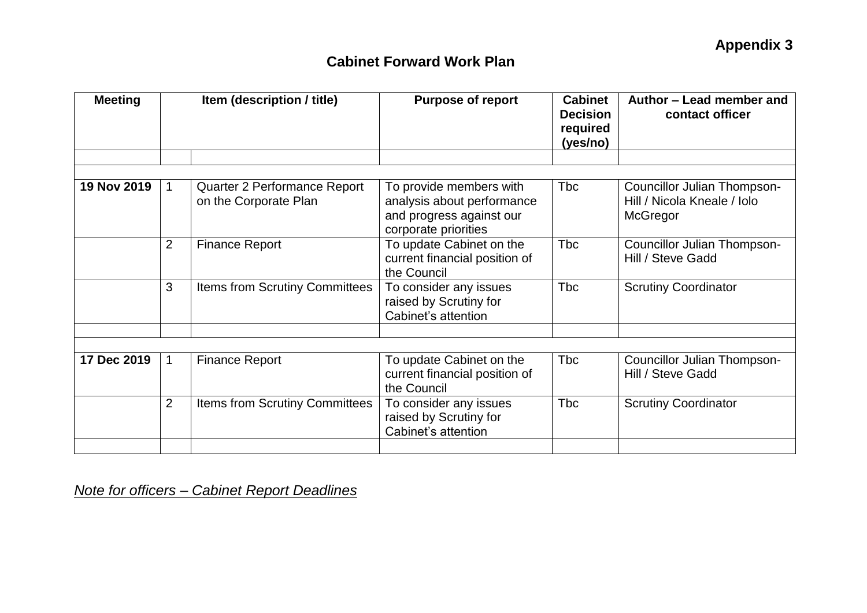| <b>Meeting</b> | Item (description / title) |                                                       | <b>Purpose of report</b>                                                                                  | <b>Cabinet</b><br><b>Decision</b><br>required<br>(yes/no) | Author – Lead member and<br>contact officer                            |  |
|----------------|----------------------------|-------------------------------------------------------|-----------------------------------------------------------------------------------------------------------|-----------------------------------------------------------|------------------------------------------------------------------------|--|
|                |                            |                                                       |                                                                                                           |                                                           |                                                                        |  |
| 19 Nov 2019    | $\mathbf{1}$               | Quarter 2 Performance Report<br>on the Corporate Plan | To provide members with<br>analysis about performance<br>and progress against our<br>corporate priorities | <b>Tbc</b>                                                | Councillor Julian Thompson-<br>Hill / Nicola Kneale / Iolo<br>McGregor |  |
|                | $\overline{2}$             | <b>Finance Report</b>                                 | To update Cabinet on the<br>current financial position of<br>the Council                                  | <b>Tbc</b>                                                | Councillor Julian Thompson-<br>Hill / Steve Gadd                       |  |
|                | 3                          | <b>Items from Scrutiny Committees</b>                 | To consider any issues<br>raised by Scrutiny for<br>Cabinet's attention                                   | <b>Tbc</b>                                                | <b>Scrutiny Coordinator</b>                                            |  |
|                |                            |                                                       |                                                                                                           |                                                           |                                                                        |  |
| 17 Dec 2019    | $\mathbf{1}$               | <b>Finance Report</b>                                 | To update Cabinet on the<br>current financial position of<br>the Council                                  | <b>Tbc</b>                                                | Councillor Julian Thompson-<br>Hill / Steve Gadd                       |  |
|                | $\overline{2}$             | <b>Items from Scrutiny Committees</b>                 | To consider any issues<br>raised by Scrutiny for<br>Cabinet's attention                                   | <b>Tbc</b>                                                | <b>Scrutiny Coordinator</b>                                            |  |
|                |                            |                                                       |                                                                                                           |                                                           |                                                                        |  |

*Note for officers – Cabinet Report Deadlines*